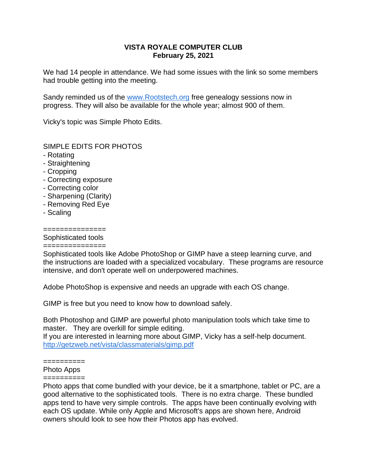## **VISTA ROYALE COMPUTER CLUB February 25, 2021**

We had 14 people in attendance. We had some issues with the link so some members had trouble getting into the meeting.

Sandy reminded us of the [www.Rootstech.org](https://vrcomputerclub-dot-yamm-track.appspot.com/Redirect?ukey=1HqwuEtkQIAl2xUAFN81J1MLoXbtU61t-XPX-_LwJAjY-0&key=YAMMID-14170172&link=http%3A%2F%2Fwww.Rootstech.org%2F) free genealogy sessions now in progress. They will also be available for the whole year; almost 900 of them.

Vicky's topic was Simple Photo Edits.

## SIMPLE EDITS FOR PHOTOS

- Rotating
- Straightening
- Cropping
- Correcting exposure
- Correcting color
- Sharpening (Clarity)
- Removing Red Eye
- Scaling

## ===============

# Sophisticated tools

#### ===============

Sophisticated tools like Adobe PhotoShop or GIMP have a steep learning curve, and the instructions are loaded with a specialized vocabulary. These programs are resource intensive, and don't operate well on underpowered machines.

Adobe PhotoShop is expensive and needs an upgrade with each OS change.

GIMP is free but you need to know how to download safely.

Both Photoshop and GIMP are powerful photo manipulation tools which take time to master. They are overkill for simple editing.

If you are interested in learning more about GIMP, Vicky has a self-help document. [http://getzweb.net/vista/classmaterials/gimp.pdf](https://vrcomputerclub-dot-yamm-track.appspot.com/Redirect?ukey=1HqwuEtkQIAl2xUAFN81J1MLoXbtU61t-XPX-_LwJAjY-0&key=YAMMID-14170172&link=http%3A%2F%2Fgetzweb.net%2Fvista%2Fclassmaterials%2Fgimp.pdf)

#### ==========

### Photo Apps

#### ==========

Photo apps that come bundled with your device, be it a smartphone, tablet or PC, are a good alternative to the sophisticated tools. There is no extra charge. These bundled apps tend to have very simple controls. The apps have been continually evolving with each OS update. While only Apple and Microsoft's apps are shown here, Android owners should look to see how their Photos app has evolved.